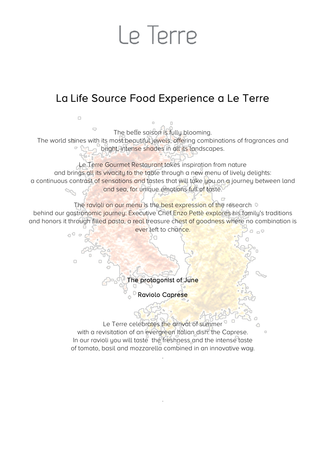## Le Terre

#### La Life Source Food Experience a Le Terre

 $\Box$  $\overline{\phantom{a}}$ The belle saison is fully blooming. The world shines with its most beautiful jewels, offering combinations of fragrances and **p** the bright, intense shades in all its landscapes. Le Terre Gourmet Restaurant takes inspiration from nature and brings all its vivacity to the table through a new menu of lively delights: a continuous contrast of sensations and tastes that will take you on a journey between land and sea, for unique emotions full of taste. The ravioli on our menu is the best expression of the research  $\circ$ behind our gastronomic journey: Executive Chef Enzo Pettè explores his family's traditions and honors it through filled pasta, a real treasure chest of goodness where no combination is ever left to chance.  $\Box$ <br/> $\heartsuit$ 0°  $\Box$ The protagonist of June **PRaviolo Caprese** Le Terre celebrates the arrival of summer with a revisitation of an evergreen Italian dish: the Caprese.  $\Box$ In our ravioli you will taste the freshness and the intense taste of tomato, basil and mozzarella combined in an innovative way. .

.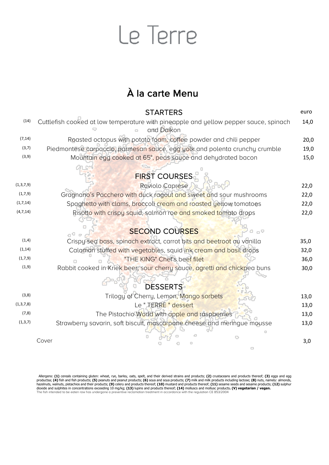## Le Terre

#### À la carte Menu

|              | <b>STARTERS</b>                                                                                    | euro |
|--------------|----------------------------------------------------------------------------------------------------|------|
| (14)         | Cuttlefish cooked at low temperature with pineapple and yellow pepper sauce, spinach<br>and Daikon | 14,0 |
| (7, 14)      | Roasted octopus with potato foam, coffee powder and chili pepper                                   | 20,0 |
| (3,7)        | Piedmontese carpaccio, parmesan sauce, egg yolk and polenta crunchy crumble                        | 19,0 |
| (3, 9)       | Mountain egg cooked at 65°, peas sauce and dehydrated bacon                                        | 15,0 |
|              |                                                                                                    |      |
|              | <b>FIRST COURSES</b>                                                                               |      |
| (1,3,7,9)    | Raviolo Caprese                                                                                    | 22,0 |
| (1,7,9)      | Gragnano's Pacchero with duck ragout and sweet and sour mushrooms                                  | 22,0 |
| (1,7,14)     | Spaghetto with clams, broccoli cream and roasted yellow tomatoes                                   | 22,0 |
| (4, 7, 14)   | Risotto with crispy squid, salmon roe and smoked tomato drops                                      | 22,0 |
|              | <b>SECOND COURSES</b><br>0                                                                         |      |
| (1, 4)       | Crispy sea bass, spinach extract, carrot bits and beetroot au vanilla                              | 35,0 |
| (1, 14)      | Calamari stuffed with vegetables, squid ink cream and basil drops                                  | 32,0 |
| (1,7,9)      | "THE KING" Chef's beef filet                                                                       | 36,0 |
| (1, 9)       | Rabbit cooked in Kriek beer, sour cherry sauce, agretti and chickpea buns                          | 30,0 |
|              | <b>DESSERTS</b>                                                                                    |      |
| (3,8)        | Trilogy of Cherry, Lemon, Mango sorbets                                                            | 13,0 |
| (1, 3, 7, 8) | Le " JERRE " dessert                                                                               | 13,0 |
| (7, 8)       | The Pistachio World with apple and raspberries                                                     | 13,0 |
| (1, 3, 7)    | Strawberry savarin, soft biscuit, mascarpone cheese and meringue mousse                            | 13,0 |
|              | Cover                                                                                              | 3,0  |

Allergens: (1) cereals containing gluten: wheat, rye, barley, oats, spelt, and their derived strains and products; (2) crustaceans and products thereof; (3) eggs and egg products; (4) cereals containing gluten: wheat, rye